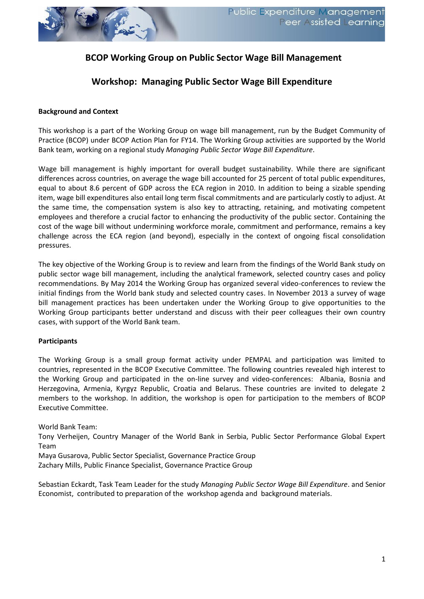

## **BCOP Working Group on Public Sector Wage Bill Management**

## **Workshop: Managing Public Sector Wage Bill Expenditure**

#### **Background and Context**

This workshop is a part of the Working Group on wage bill management, run by the Budget Community of Practice (BCOP) under BCOP Action Plan for FY14. The Working Group activities are supported by the World Bank team, working on a regional study *Managing Public Sector Wage Bill Expenditure*.

Wage bill management is highly important for overall budget sustainability. While there are significant differences across countries, on average the wage bill accounted for 25 percent of total public expenditures, equal to about 8.6 percent of GDP across the ECA region in 2010. In addition to being a sizable spending item, wage bill expenditures also entail long term fiscal commitments and are particularly costly to adjust. At the same time, the compensation system is also key to attracting, retaining, and motivating competent employees and therefore a crucial factor to enhancing the productivity of the public sector. Containing the cost of the wage bill without undermining workforce morale, commitment and performance, remains a key challenge across the ECA region (and beyond), especially in the context of ongoing fiscal consolidation pressures.

The key objective of the Working Group is to review and learn from the findings of the World Bank study on public sector wage bill management, including the analytical framework, selected country cases and policy recommendations. By May 2014 the Working Group has organized several video-conferences to review the initial findings from the World bank study and selected country cases. In November 2013 a survey of wage bill management practices has been undertaken under the Working Group to give opportunities to the Working Group participants better understand and discuss with their peer colleagues their own country cases, with support of the World Bank team.

#### **Participants**

The Working Group is a small group format activity under PEMPAL and participation was limited to countries, represented in the BCOP Executive Committee. The following countries revealed high interest to the Working Group and participated in the on-line survey and video-conferences: Albania, Bosnia and Herzegovina, Armenia, Kyrgyz Republic, Croatia and Belarus. These countries are invited to delegate 2 members to the workshop. In addition, the workshop is open for participation to the members of BCOP Executive Committee.

World Bank Team:

Tony Verheijen, Country Manager of the World Bank in Serbia, Public Sector Performance Global Expert Team

Maya Gusarova, Public Sector Specialist, Governance Practice Group Zachary Mills, Public Finance Specialist, Governance Practice Group

Sebastian Eckardt, Task Team Leader for the study *Managing Public Sector Wage Bill Expenditure*. and Senior Economist, contributed to preparation of the workshop agenda and background materials.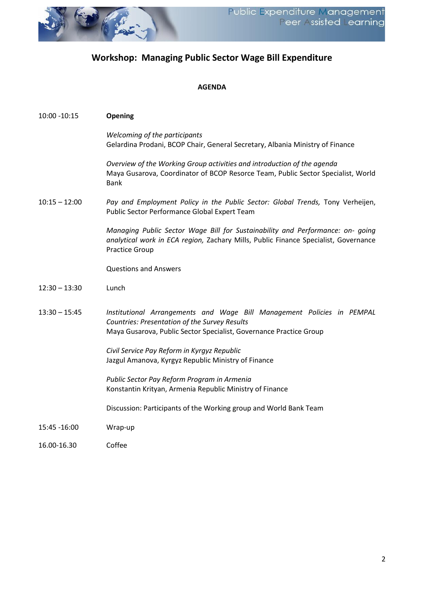

# **Workshop: Managing Public Sector Wage Bill Expenditure**

### **AGENDA**

| 10:00 -10:15    | <b>Opening</b>                                                                                                                                                                                 |
|-----------------|------------------------------------------------------------------------------------------------------------------------------------------------------------------------------------------------|
|                 | Welcoming of the participants<br>Gelardina Prodani, BCOP Chair, General Secretary, Albania Ministry of Finance                                                                                 |
|                 | Overview of the Working Group activities and introduction of the agenda<br>Maya Gusarova, Coordinator of BCOP Resorce Team, Public Sector Specialist, World<br><b>Bank</b>                     |
| $10:15 - 12:00$ | Pay and Employment Policy in the Public Sector: Global Trends, Tony Verheijen,<br>Public Sector Performance Global Expert Team                                                                 |
|                 | Managing Public Sector Wage Bill for Sustainability and Performance: on- going<br>analytical work in ECA region, Zachary Mills, Public Finance Specialist, Governance<br><b>Practice Group</b> |
|                 | <b>Questions and Answers</b>                                                                                                                                                                   |
| $12:30 - 13:30$ | Lunch                                                                                                                                                                                          |
| $13:30 - 15:45$ | Institutional Arrangements and Wage Bill Management Policies in PEMPAL<br>Countries: Presentation of the Survey Results<br>Maya Gusarova, Public Sector Specialist, Governance Practice Group  |
|                 | Civil Service Pay Reform in Kyrgyz Republic<br>Jazgul Amanova, Kyrgyz Republic Ministry of Finance                                                                                             |
|                 | Public Sector Pay Reform Program in Armenia<br>Konstantin Krityan, Armenia Republic Ministry of Finance                                                                                        |
|                 | Discussion: Participants of the Working group and World Bank Team                                                                                                                              |
| 15:45 - 16:00   | Wrap-up                                                                                                                                                                                        |
| 16.00-16.30     | Coffee                                                                                                                                                                                         |